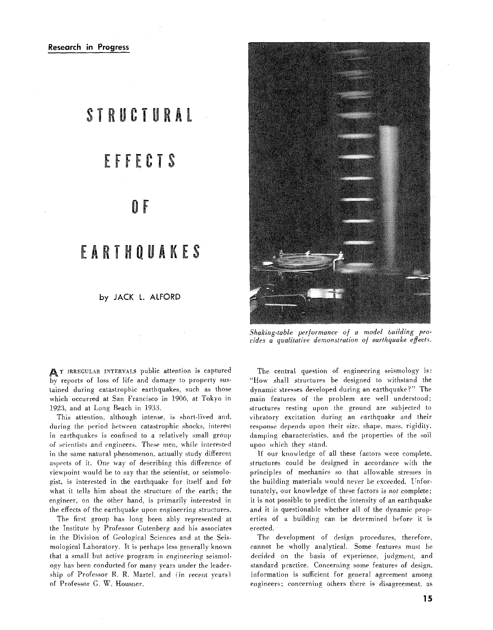## STRUCTURAL

# EFFECTS

### 0 E

## EARTHOUAKES

#### by JACK L. ALFORD

T IRREGULAR INTERVALS public attention is captured by reports of loss of life and damage to property sustained during catastrophic earthquakes, such as those which occurred at San Francisco in 1906, at Tokyo in 1923, and at Long Beach in 1933.

This attention, although intense, is short-lived and. during the period between catastrophic shocks, interest in earthquakes is confined to a relatively small group of scientists and engineers. These men, while interested in the same natural phenomenon, actually study different aspects of it. One way of describing this difference of viewpoint would be to say that the scientist, or seismologist, is interested in the earthquake for itself and for what it tells him about the structure of the earth; the engineer, on the other hand, is primarily interested in the effects of the earthquake upon engineering structures.

The first group has long been ably represented at the Institute by Professor Gutenberg and his associates in the Division of Geological Sciences and at the Seismological Laboratory. It is perhaps less generally known that a small but active program in engineering seismology has been conducted for many years under the leadership of Professor R. R. Martel, and (in recent years) of Professor G. W. Housner.



Shaking-table performance of a model building provides a qualitative demonstration of earthquake effects.

The central question of engineering seismology is: "How shall structures be designed to withstand the dynamic stresses developed during an earthquake?" The main features of the problem are well understood; structures resting upon the ground are subjected to vibratory excitation during an earthquake and their response depends upon their size, shape, mass, rigidity. damping characteristics, and the properties of the soil upon which they stand.

If our knowledge of all these factors were complete. structures could be designed in accordance with the principles of mechanics so that allowable stresses in the building materials would never be exceeded. Unfortunately, our knowledge of these factors is not complete; it is not possible to predict the intensity of an earthquake and it is questionable whether all of the dynamic properties of a building can be determined before it is erected.

The development of design procedures, therefore, cannot be wholly analytical. Some features must be decided on the basis of experience, judgment, and standard practice. Concerning some features of design, information is sufficient for general agreement among engineers; concerning others there is disagreement, as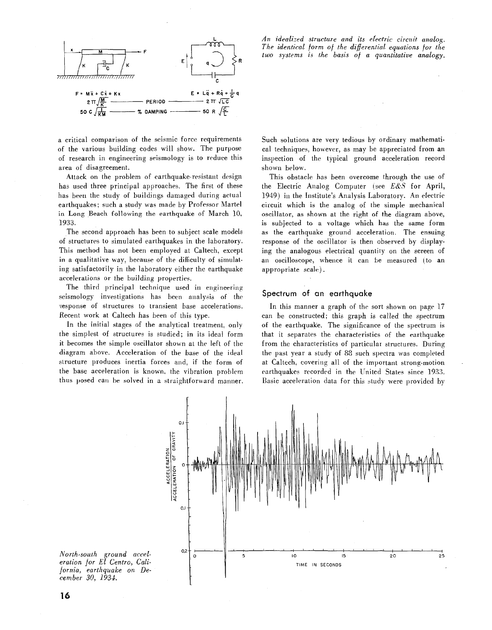

a critical comparison of the seismic force requirements of the various building codes will show. The purpose of research in engineering seismology is to reduce this area of disagreement.

Attack on the problem of earthquake-resistant design has used three principal approaches. The first of ihese has been the study of buildings damaged during actual earthquakes; such a study was made by Professor Martel in Long Beach following the earthquake of March 10, 1933.

The second approach has been to subject scale models of structures to simulated earthquakes in the laboratory. This method has not been employed at Caltech, except in a qualitative way, because of the difficulty of simulating satisfactorily in the laboratory either the earthquake accelerations or the building properties.

The third principal technique used in engineering seismology investigations has been analysis of the response of structures to transient base accelerations. Recent work at Caltech has been of this type.

In the initial stages of the analytical treatment, only the simplest of structures is studied; in its ideal form it becomes the simple oscillator shown at the left of the diagram above. Acceleration of the base of the ideal structure produces inertia forces and. if the form of the base acceleration is known. the vibration problem thus posed can be solved in a straightforward manner.

*An idealized structure and its ~[ectric circuit analog. The identical form of the differential equations for the two systems* **is** *the basis of a quantitative analogy.* 

Such solutions are very tedious by ordinary mathematical techniques. however, as may be appreciated from an inspection of the typical ground acceleration record shown below.

This obstacle has been overcome through the use of ihe Electric Analog Computer (see *E&S* for April, 1949) in the Institute's Analysis Laboratory. An electric circuit which is the analog of the simple mechanical oscillator, as shown at the right of the diagram above, is subjected to a voltage which has the same form as the earthquake ground acceleration. The ensuing response of the oscillator is then observed by displaying the analogous electrical quantity on the screen of an oscilloscope, whence it can be measured (to an appropriate scale).

#### **Spectrum of an earthquake**

In this manner a graph of the sort shown on page 17 can be constructed; this graph is called the spectrum of the earthquake. The significance of the spectrum is that it separates the characteristics of the earthquake from the characteristics of particulat structures. During the past year a study of 88 such spectra was completed at Caltech. covering all of the important strong-motion earthquakes recorded in the United States since 1933. Basic acceleration data for this study were provided by



*North-south ground acceleration for El Centro, California, earthquake on December 30, 1934.*